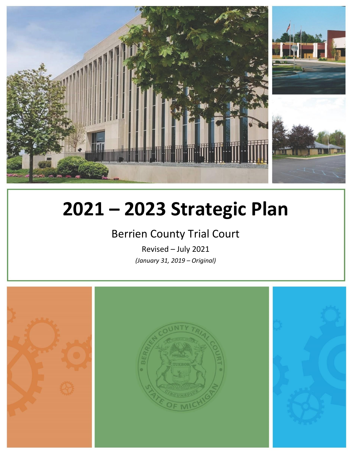

# **2021 – 2023 Strategic Plan**

# Berrien County Trial Court

Revised – July 2021 *(January 31, 2019 – Original)*

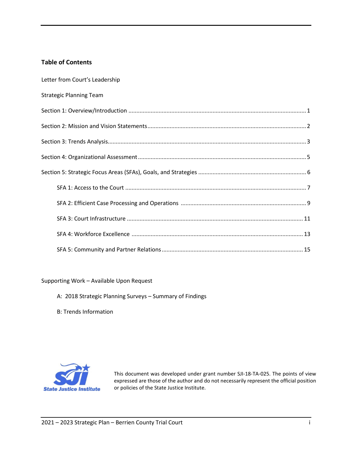# **Table of Contents**

| Letter from Court's Leadership |
|--------------------------------|
| <b>Strategic Planning Team</b> |
|                                |
|                                |
|                                |
|                                |
|                                |
|                                |
|                                |
|                                |
|                                |
|                                |

#### Supporting Work – Available Upon Request

- A: 2018 Strategic Planning Surveys Summary of Findings
- B: Trends Information



This document was developed under grant number SJI-18-TA-025. The points of view expressed are those of the author and do not necessarily represent the official position or policies of the State Justice Institute.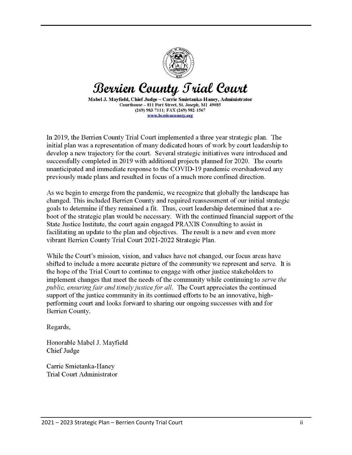

# Berrien County Trial Court

Mabel J. Mavfield. Chief Judge ~ Carrie Smietanka-Hanev. Administrator Courthouse - 811 Port Street, St. Joseph, MI 49085 (269) 983-7111; FAX (269) 982-1567 www.berriencounty.org

In 2019, the Berrien County Trial Court implemented a three year strategic plan. The initial plan was a representation of many dedicated hours of work by court leadership to develop a new trajectory for the court. Several strategic initiatives were introduced and successfully completed in 2019 with additional projects planned for 2020. The courts unanticipated and immediate response to the COVID-19 pandemic overshadowed any previously made plans and resulted in focus of a much more confined direction.

As we begin to emerge from the pandemic, we recognize that globally the landscape has changed. This included Berrien County and required reassessment of our initial strategic goals to determine if they remained a fit. Thus, court leadership determined that a reboot of the strategic plan would be necessary. With the continued financial support of the State Justice Institute, the court again engaged PRAXIS Consulting to assist in facilitating an update to the plan and objectives. The result is a new and even more vibrant Berrien County Trial Court 2021-2022 Strategic Plan.

While the Court's mission, vision, and values have not changed, our focus areas have shifted to include a more accurate picture of the community we represent and serve. It is the hope of the Trial Court to continue to engage with other justice stakeholders to implement changes that meet the needs of the community while continuing to *serve the* public, ensuring fair and timely justice for all. The Court appreciates the continued support of the justice community in its continued efforts to be an innovative, highperforming court and looks forward to sharing our ongoing successes with and for Berrien County.

Regards,

Honorable Mabel J. Mayfield **Chief Judge** 

Carrie Smietanka-Haney **Trial Court Administrator**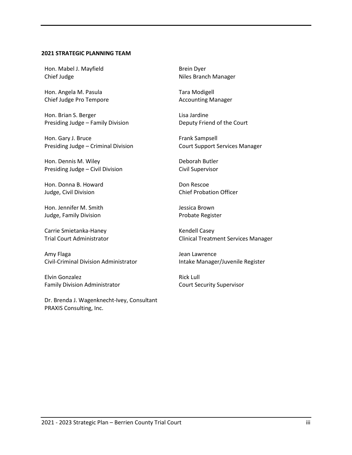#### **2021 STRATEGIC PLANNING TEAM**

Hon. Mabel J. Mayfield Chief Judge

Hon. Angela M. Pasula Chief Judge Pro Tempore

Hon. Brian S. Berger Presiding Judge – Family Division

Hon. Gary J. Bruce Presiding Judge – Criminal Division

Hon. Dennis M. Wiley Presiding Judge – Civil Division

Hon. Donna B. Howard Judge, Civil Division

Hon. Jennifer M. Smith Judge, Family Division

Carrie Smietanka-Haney Trial Court Administrator

Amy Flaga Civil-Criminal Division Administrator

Elvin Gonzalez Family Division Administrator

Dr. Brenda J. Wagenknecht-Ivey, Consultant PRAXIS Consulting, Inc.

Brein Dyer Niles Branch Manager

Tara Modigell Accounting Manager

Lisa Jardine Deputy Friend of the Court

Frank Sampsell Court Support Services Manager

Deborah Butler Civil Supervisor

Don Rescoe Chief Probation Officer

Jessica Brown Probate Register

Kendell Casey Clinical Treatment Services Manager

Jean Lawrence Intake Manager/Juvenile Register

Rick Lull Court Security Supervisor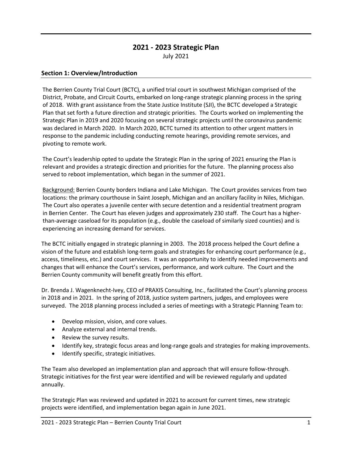# **2021 - 2023 Strategic Plan** July 2021

## **Section 1: Overview/Introduction**

The Berrien County Trial Court (BCTC), a unified trial court in southwest Michigan comprised of the District, Probate, and Circuit Courts, embarked on long-range strategic planning process in the spring of 2018. With grant assistance from the State Justice Institute (SJI), the BCTC developed a Strategic Plan that set forth a future direction and strategic priorities. The Courts worked on implementing the Strategic Plan in 2019 and 2020 focusing on several strategic projects until the coronavirus pandemic was declared in March 2020. In March 2020, BCTC turned its attention to other urgent matters in response to the pandemic including conducting remote hearings, providing remote services, and pivoting to remote work.

The Court's leadership opted to update the Strategic Plan in the spring of 2021 ensuring the Plan is relevant and provides a strategic direction and priorities for the future. The planning process also served to reboot implementation, which began in the summer of 2021.

Background: Berrien County borders Indiana and Lake Michigan. The Court provides services from two locations: the primary courthouse in Saint Joseph, Michigan and an ancillary facility in Niles, Michigan. The Court also operates a juvenile center with secure detention and a residential treatment program in Berrien Center. The Court has eleven judges and approximately 230 staff. The Court has a higherthan-average caseload for its population (e.g., double the caseload of similarly sized counties) and is experiencing an increasing demand for services.

The BCTC initially engaged in strategic planning in 2003. The 2018 process helped the Court define a vision of the future and establish long-term goals and strategies for enhancing court performance (e.g., access, timeliness, etc.) and court services. It was an opportunity to identify needed improvements and changes that will enhance the Court's services, performance, and work culture. The Court and the Berrien County community will benefit greatly from this effort.

Dr. Brenda J. Wagenknecht-Ivey, CEO of PRAXIS Consulting, Inc., facilitated the Court's planning process in 2018 and in 2021. In the spring of 2018, justice system partners, judges, and employees were surveyed. The 2018 planning process included a series of meetings with a Strategic Planning Team to:

- Develop mission, vision, and core values.
- Analyze external and internal trends.
- Review the survey results.
- Identify key, strategic focus areas and long-range goals and strategies for making improvements.
- Identify specific, strategic initiatives.

The Team also developed an implementation plan and approach that will ensure follow-through. Strategic initiatives for the first year were identified and will be reviewed regularly and updated annually.

The Strategic Plan was reviewed and updated in 2021 to account for current times, new strategic projects were identified, and implementation began again in June 2021.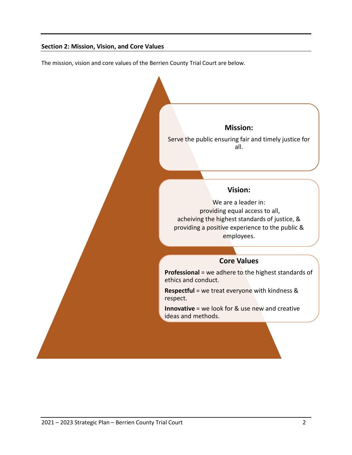## **Section 2: Mission, Vision, and Core Values**

The mission, vision and core values of the Berrien County Trial Court are below.

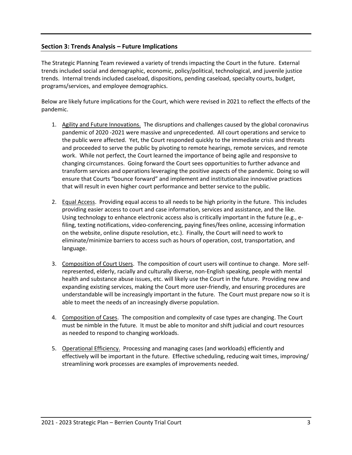## **Section 3: Trends Analysis – Future Implications**

The Strategic Planning Team reviewed a variety of trends impacting the Court in the future. External trends included social and demographic, economic, policy/political, technological, and juvenile justice trends. Internal trends included caseload, dispositions, pending caseload, specialty courts, budget, programs/services, and employee demographics.

Below are likely future implications for the Court, which were revised in 2021 to reflect the effects of the pandemic.

- 1. Agility and Future Innovations. The disruptions and challenges caused by the global coronavirus pandemic of 2020 -2021 were massive and unprecedented. All court operations and service to the public were affected. Yet, the Court responded quickly to the immediate crisis and threats and proceeded to serve the public by pivoting to remote hearings, remote services, and remote work. While not perfect, the Court learned the importance of being agile and responsive to changing circumstances. Going forward the Court sees opportunities to further advance and transform services and operations leveraging the positive aspects of the pandemic. Doing so will ensure that Courts "bounce forward" and implement and institutionalize innovative practices that will result in even higher court performance and better service to the public.
- 2. Equal Access. Providing equal access to all needs to be high priority in the future. This includes providing easier access to court and case information, services and assistance, and the like. Using technology to enhance electronic access also is critically important in the future (e.g., efiling, texting notifications, video-conferencing, paying fines/fees online, accessing information on the website, online dispute resolution, etc.). Finally, the Court will need to work to eliminate/minimize barriers to access such as hours of operation, cost, transportation, and language.
- 3. Composition of Court Users. The composition of court users will continue to change. More selfrepresented, elderly, racially and culturally diverse, non-English speaking, people with mental health and substance abuse issues, etc. will likely use the Court in the future. Providing new and expanding existing services, making the Court more user-friendly, and ensuring procedures are understandable will be increasingly important in the future. The Court must prepare now so it is able to meet the needs of an increasingly diverse population.
- 4. Composition of Cases. The composition and complexity of case types are changing. The Court must be nimble in the future. It must be able to monitor and shift judicial and court resources as needed to respond to changing workloads.
- 5. Operational Efficiency. Processing and managing cases (and workloads) efficiently and effectively will be important in the future. Effective scheduling, reducing wait times, improving/ streamlining work processes are examples of improvements needed.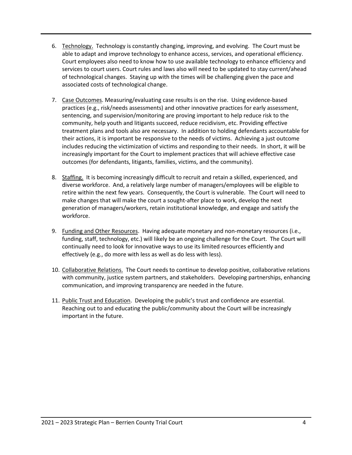- 6. Technology. Technology is constantly changing, improving, and evolving. The Court must be able to adapt and improve technology to enhance access, services, and operational efficiency. Court employees also need to know how to use available technology to enhance efficiency and services to court users. Court rules and laws also will need to be updated to stay current/ahead of technological changes. Staying up with the times will be challenging given the pace and associated costs of technological change.
- 7. Case Outcomes. Measuring/evaluating case results is on the rise. Using evidence-based practices (e.g., risk/needs assessments) and other innovative practices for early assessment, sentencing, and supervision/monitoring are proving important to help reduce risk to the community, help youth and litigants succeed, reduce recidivism, etc. Providing effective treatment plans and tools also are necessary. In addition to holding defendants accountable for their actions, it is important be responsive to the needs of victims. Achieving a just outcome includes reducing the victimization of victims and responding to their needs. In short, it will be increasingly important for the Court to implement practices that will achieve effective case outcomes (for defendants, litigants, families, victims, and the community).
- 8. Staffing. It is becoming increasingly difficult to recruit and retain a skilled, experienced, and diverse workforce. And, a relatively large number of managers/employees will be eligible to retire within the next few years. Consequently, the Court is vulnerable. The Court will need to make changes that will make the court a sought-after place to work, develop the next generation of managers/workers, retain institutional knowledge, and engage and satisfy the workforce.
- 9. Funding and Other Resources. Having adequate monetary and non-monetary resources (i.e., funding, staff, technology, etc.) will likely be an ongoing challenge for the Court. The Court will continually need to look for innovative ways to use its limited resources efficiently and effectively (e.g., do more with less as well as do less with less).
- 10. Collaborative Relations. The Court needs to continue to develop positive, collaborative relations with community, justice system partners, and stakeholders. Developing partnerships, enhancing communication, and improving transparency are needed in the future.
- 11. Public Trust and Education. Developing the public's trust and confidence are essential. Reaching out to and educating the public/community about the Court will be increasingly important in the future.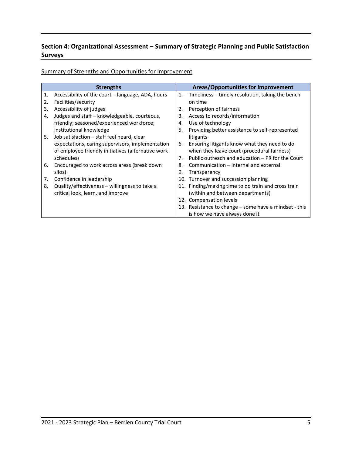# **Section 4: Organizational Assessment – Summary of Strategic Planning and Public Satisfaction Surveys**

Summary of Strengths and Opportunities for Improvement

|    | <b>Strengths</b>                                   |                | Areas/Opportunities for Improvement                   |
|----|----------------------------------------------------|----------------|-------------------------------------------------------|
| 1. | Accessibility of the court – language, ADA, hours  | $\mathbf{1}$ . | Timeliness – timely resolution, taking the bench      |
| 2. | Facilities/security                                |                | on time                                               |
| 3. | Accessibility of judges                            | 2.             | Perception of fairness                                |
| 4. | Judges and staff – knowledgeable, courteous,       | 3.             | Access to records/information                         |
|    | friendly; seasoned/experienced workforce;          | 4.             | Use of technology                                     |
|    | institutional knowledge                            | 5.             | Providing better assistance to self-represented       |
| 5. | Job satisfaction - staff feel heard, clear         |                | litigants                                             |
|    | expectations, caring supervisors, implementation   | 6.             | Ensuring litigants know what they need to do          |
|    | of employee friendly initiatives (alternative work |                | when they leave court (procedural fairness)           |
|    | schedules)                                         | 7.             | Public outreach and education – PR for the Court      |
| 6. | Encouraged to work across areas (break down        | 8.             | Communication – internal and external                 |
|    | silos)                                             | 9.             | Transparency                                          |
| 7. | Confidence in leadership                           |                | 10. Turnover and succession planning                  |
| 8. | Quality/effectiveness – willingness to take a      |                | 11. Finding/making time to do train and cross train   |
|    | critical look, learn, and improve                  |                | (within and between departments)                      |
|    |                                                    |                | 12. Compensation levels                               |
|    |                                                    |                | 13. Resistance to change – some have a mindset - this |
|    |                                                    |                | is how we have always done it                         |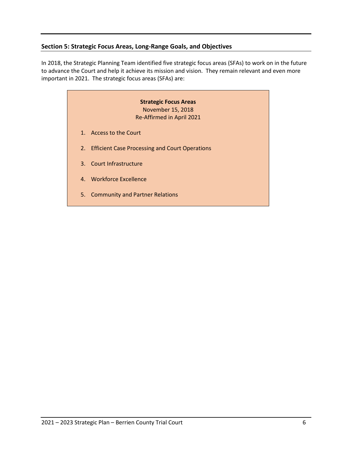# **Section 5: Strategic Focus Areas, Long-Range Goals, and Objectives**

In 2018, the Strategic Planning Team identified five strategic focus areas (SFAs) to work on in the future to advance the Court and help it achieve its mission and vision. They remain relevant and even more important in 2021. The strategic focus areas (SFAs) are:

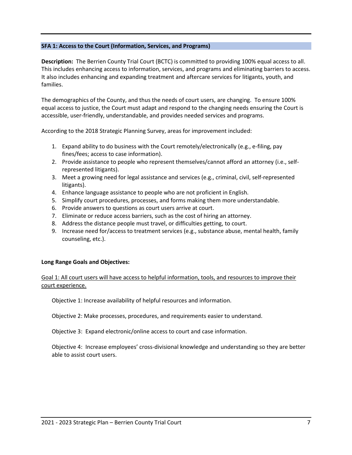#### **SFA 1: Access to the Court (Information, Services, and Programs)**

**Description:** The Berrien County Trial Court (BCTC) is committed to providing 100% equal access to all. This includes enhancing access to information, services, and programs and eliminating barriers to access. It also includes enhancing and expanding treatment and aftercare services for litigants, youth, and families.

The demographics of the County, and thus the needs of court users, are changing. To ensure 100% equal access to justice, the Court must adapt and respond to the changing needs ensuring the Court is accessible, user-friendly, understandable, and provides needed services and programs.

According to the 2018 Strategic Planning Survey, areas for improvement included:

- 1. Expand ability to do business with the Court remotely/electronically (e.g., e-filing, pay fines/fees; access to case information).
- 2. Provide assistance to people who represent themselves/cannot afford an attorney (i.e., selfrepresented litigants).
- 3. Meet a growing need for legal assistance and services (e.g., criminal, civil, self-represented litigants).
- 4. Enhance language assistance to people who are not proficient in English.
- 5. Simplify court procedures, processes, and forms making them more understandable.
- 6. Provide answers to questions as court users arrive at court.
- 7. Eliminate or reduce access barriers, such as the cost of hiring an attorney.
- 8. Address the distance people must travel, or difficulties getting, to court.
- 9. Increase need for/access to treatment services (e.g., substance abuse, mental health, family counseling, etc.).

#### **Long Range Goals and Objectives:**

Goal 1: All court users will have access to helpful information, tools, and resources to improve their court experience.

Objective 1: Increase availability of helpful resources and information.

Objective 2: Make processes, procedures, and requirements easier to understand.

Objective 3: Expand electronic/online access to court and case information.

Objective 4: Increase employees' cross-divisional knowledge and understanding so they are better able to assist court users.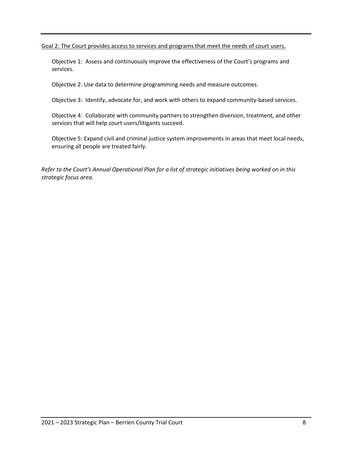Goal 2: The Court provides access to services and programs that meet the needs of court users.

Objective 1: Assess and continuously improve the effectiveness of the Court's programs and services.

Objective 2: Use data to determine programming needs and measure outcomes.

Objective 3: Identify, advocate for, and work with others to expand community-based services.

Objective 4: Collaborate with community partners to strengthen diversion, treatment, and other services that will help court users/litigants succeed.

Objective 5: Expand civil and criminal justice system improvements in areas that meet local needs, ensuring all people are treated fairly.

*Refer to the Court's Annual Operational Plan for a list of strategic initiatives being worked on in this strategic focus area.*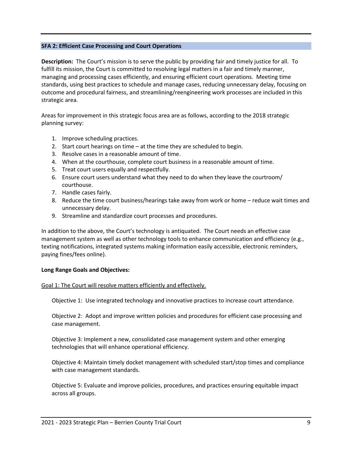#### **SFA 2: Efficient Case Processing and Court Operations**

**Description:** The Court's mission is to serve the public by providing fair and timely justice for all. To fulfill its mission, the Court is committed to resolving legal matters in a fair and timely manner, managing and processing cases efficiently, and ensuring efficient court operations. Meeting time standards, using best practices to schedule and manage cases, reducing unnecessary delay, focusing on outcome and procedural fairness, and streamlining/reengineering work processes are included in this strategic area.

Areas for improvement in this strategic focus area are as follows, according to the 2018 strategic planning survey:

- 1. Improve scheduling practices.
- 2. Start court hearings on time at the time they are scheduled to begin.
- 3. Resolve cases in a reasonable amount of time.
- 4. When at the courthouse, complete court business in a reasonable amount of time.
- 5. Treat court users equally and respectfully.
- 6. Ensure court users understand what they need to do when they leave the courtroom/ courthouse.
- 7. Handle cases fairly.
- 8. Reduce the time court business/hearings take away from work or home reduce wait times and unnecessary delay.
- 9. Streamline and standardize court processes and procedures.

In addition to the above, the Court's technology is antiquated. The Court needs an effective case management system as well as other technology tools to enhance communication and efficiency (e.g., texting notifications, integrated systems making information easily accessible, electronic reminders, paying fines/fees online).

#### **Long Range Goals and Objectives:**

#### Goal 1: The Court will resolve matters efficiently and effectively.

Objective 1: Use integrated technology and innovative practices to increase court attendance.

Objective 2: Adopt and improve written policies and procedures for efficient case processing and case management.

Objective 3: Implement a new, consolidated case management system and other emerging technologies that will enhance operational efficiency.

Objective 4: Maintain timely docket management with scheduled start/stop times and compliance with case management standards.

Objective 5: Evaluate and improve policies, procedures, and practices ensuring equitable impact across all groups.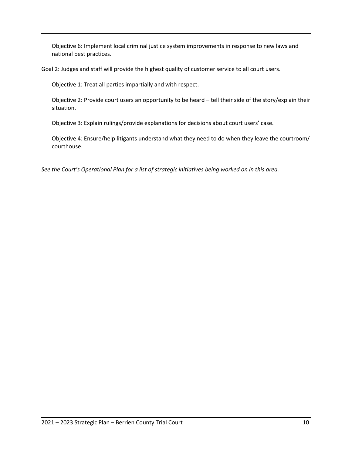Objective 6: Implement local criminal justice system improvements in response to new laws and national best practices.

Goal 2: Judges and staff will provide the highest quality of customer service to all court users.

Objective 1: Treat all parties impartially and with respect.

Objective 2: Provide court users an opportunity to be heard – tell their side of the story/explain their situation.

Objective 3: Explain rulings/provide explanations for decisions about court users' case.

Objective 4: Ensure/help litigants understand what they need to do when they leave the courtroom/ courthouse.

*See the Court's Operational Plan for a list of strategic initiatives being worked on in this area.*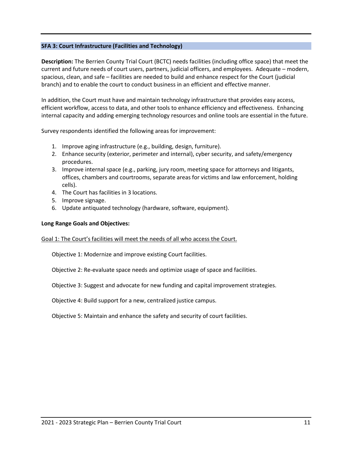#### **SFA 3: Court Infrastructure (Facilities and Technology)**

**Description:** The Berrien County Trial Court (BCTC) needs facilities (including office space) that meet the current and future needs of court users, partners, judicial officers, and employees. Adequate – modern, spacious, clean, and safe – facilities are needed to build and enhance respect for the Court (judicial branch) and to enable the court to conduct business in an efficient and effective manner.

In addition, the Court must have and maintain technology infrastructure that provides easy access, efficient workflow, access to data, and other tools to enhance efficiency and effectiveness. Enhancing internal capacity and adding emerging technology resources and online tools are essential in the future.

Survey respondents identified the following areas for improvement:

- 1. Improve aging infrastructure (e.g., building, design, furniture).
- 2. Enhance security (exterior, perimeter and internal), cyber security, and safety/emergency procedures.
- 3. Improve internal space (e.g., parking, jury room, meeting space for attorneys and litigants, offices, chambers and courtrooms, separate areas for victims and law enforcement, holding cells).
- 4. The Court has facilities in 3 locations.
- 5. Improve signage.
- 6. Update antiquated technology (hardware, software, equipment).

#### **Long Range Goals and Objectives:**

#### Goal 1: The Court's facilities will meet the needs of all who access the Court.

Objective 1: Modernize and improve existing Court facilities.

Objective 2: Re-evaluate space needs and optimize usage of space and facilities.

Objective 3: Suggest and advocate for new funding and capital improvement strategies.

Objective 4: Build support for a new, centralized justice campus.

Objective 5: Maintain and enhance the safety and security of court facilities.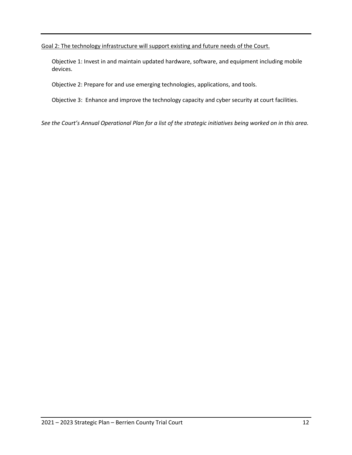Goal 2: The technology infrastructure will support existing and future needs of the Court.

Objective 1: Invest in and maintain updated hardware, software, and equipment including mobile devices.

Objective 2: Prepare for and use emerging technologies, applications, and tools.

Objective 3: Enhance and improve the technology capacity and cyber security at court facilities.

*See the Court's Annual Operational Plan for a list of the strategic initiatives being worked on in this area.*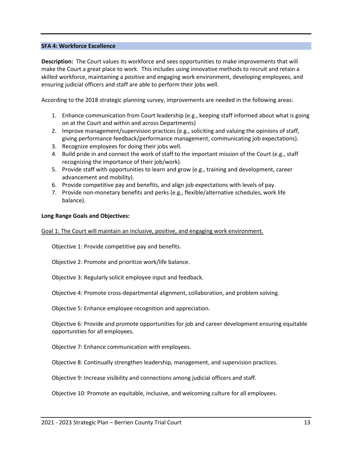#### **SFA 4: Workforce Excellence**

**Description:** The Court values its workforce and sees opportunities to make improvements that will make the Court a great place to work. This includes using innovative methods to recruit and retain a skilled workforce, maintaining a positive and engaging work environment, developing employees, and ensuring judicial officers and staff are able to perform their jobs well.

According to the 2018 strategic planning survey, improvements are needed in the following areas:

- 1. Enhance communication from Court leadership (e.g., keeping staff informed about what is going on at the Court and within and across Departments)
- 2. Improve management/supervision practices (e.g., soliciting and valuing the opinions of staff, giving performance feedback/performance management, communicating job expectations).
- 3. Recognize employees for doing their jobs well.
- 4. Build pride in and connect the work of staff to the important mission of the Court (e.g., staff recognizing the importance of their job/work).
- 5. Provide staff with opportunities to learn and grow (e.g., training and development, career advancement and mobility).
- 6. Provide competitive pay and benefits, and align job expectations with levels of pay.
- 7. Provide non-monetary benefits and perks (e.g., flexible/alternative schedules, work life balance).

#### **Long Range Goals and Objectives:**

#### Goal 1: The Court will maintain an inclusive, positive, and engaging work environment.

Objective 1: Provide competitive pay and benefits.

Objective 2: Promote and prioritize work/life balance.

Objective 3: Regularly solicit employee input and feedback.

Objective 4: Promote cross-departmental alignment, collaboration, and problem solving.

Objective 5: Enhance employee recognition and appreciation.

Objective 6: Provide and promote opportunities for job and career development ensuring equitable opportunities for all employees.

Objective 7: Enhance communication with employees.

Objective 8: Continually strengthen leadership, management, and supervision practices.

Objective 9: Increase visibility and connections among judicial officers and staff.

Objective 10: Promote an equitable, inclusive, and welcoming culture for all employees.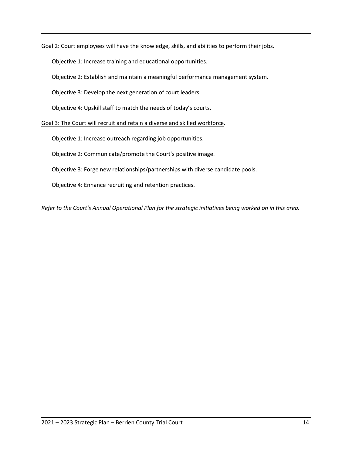Goal 2: Court employees will have the knowledge, skills, and abilities to perform their jobs.

Objective 1: Increase training and educational opportunities.

Objective 2: Establish and maintain a meaningful performance management system.

Objective 3: Develop the next generation of court leaders.

Objective 4: Upskill staff to match the needs of today's courts.

Goal 3: The Court will recruit and retain a diverse and skilled workforce.

Objective 1: Increase outreach regarding job opportunities.

Objective 2: Communicate/promote the Court's positive image.

Objective 3: Forge new relationships/partnerships with diverse candidate pools.

Objective 4: Enhance recruiting and retention practices.

*Refer to the Court's Annual Operational Plan for the strategic initiatives being worked on in this area.*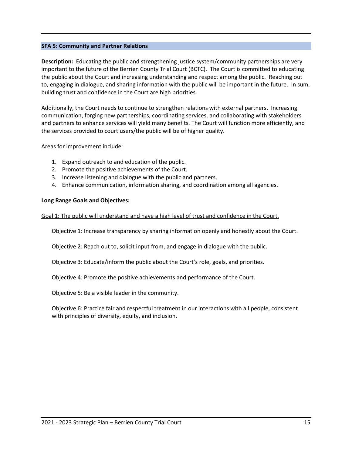#### **SFA 5: Community and Partner Relations**

**Description:** Educating the public and strengthening justice system/community partnerships are very important to the future of the Berrien County Trial Court (BCTC). The Court is committed to educating the public about the Court and increasing understanding and respect among the public. Reaching out to, engaging in dialogue, and sharing information with the public will be important in the future. In sum, building trust and confidence in the Court are high priorities.

Additionally, the Court needs to continue to strengthen relations with external partners. Increasing communication, forging new partnerships, coordinating services, and collaborating with stakeholders and partners to enhance services will yield many benefits. The Court will function more efficiently, and the services provided to court users/the public will be of higher quality.

#### Areas for improvement include:

- 1. Expand outreach to and education of the public.
- 2. Promote the positive achievements of the Court.
- 3. Increase listening and dialogue with the public and partners.
- 4. Enhance communication, information sharing, and coordination among all agencies.

#### **Long Range Goals and Objectives:**

Goal 1: The public will understand and have a high level of trust and confidence in the Court.

Objective 1: Increase transparency by sharing information openly and honestly about the Court.

Objective 2: Reach out to, solicit input from, and engage in dialogue with the public.

Objective 3: Educate/inform the public about the Court's role, goals, and priorities.

Objective 4: Promote the positive achievements and performance of the Court.

Objective 5: Be a visible leader in the community.

Objective 6: Practice fair and respectful treatment in our interactions with all people, consistent with principles of diversity, equity, and inclusion.